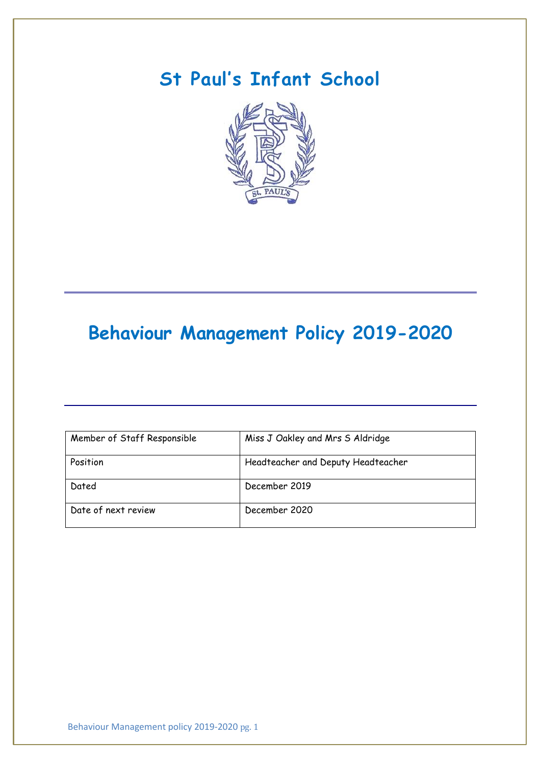# **St Paul's Infant School**



# **Behaviour Management Policy 2019-2020**

| Member of Staff Responsible | Miss J Oakley and Mrs S Aldridge   |
|-----------------------------|------------------------------------|
| Position                    | Headteacher and Deputy Headteacher |
| Dated                       | December 2019                      |
| Date of next review         | December 2020                      |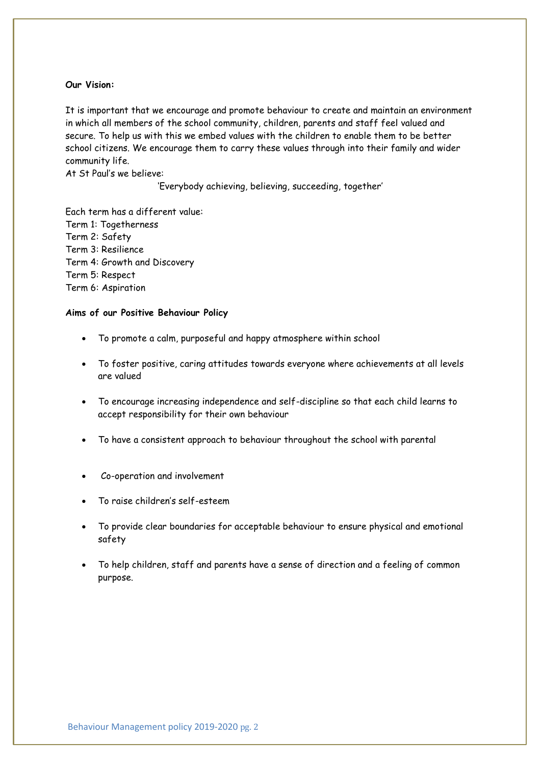# **Our Vision:**

It is important that we encourage and promote behaviour to create and maintain an environment in which all members of the school community, children, parents and staff feel valued and secure. To help us with this we embed values with the children to enable them to be better school citizens. We encourage them to carry these values through into their family and wider community life.

At St Paul's we believe:

'Everybody achieving, believing, succeeding, together'

Each term has a different value: Term 1: Togetherness Term 2: Safety Term 3: Resilience Term 4: Growth and Discovery Term 5: Respect Term 6: Aspiration

## **Aims of our Positive Behaviour Policy**

- To promote a calm, purposeful and happy atmosphere within school
- To foster positive, caring attitudes towards everyone where achievements at all levels are valued
- To encourage increasing independence and self-discipline so that each child learns to accept responsibility for their own behaviour
- To have a consistent approach to behaviour throughout the school with parental
- Co-operation and involvement
- To raise children's self-esteem
- To provide clear boundaries for acceptable behaviour to ensure physical and emotional safety
- To help children, staff and parents have a sense of direction and a feeling of common purpose.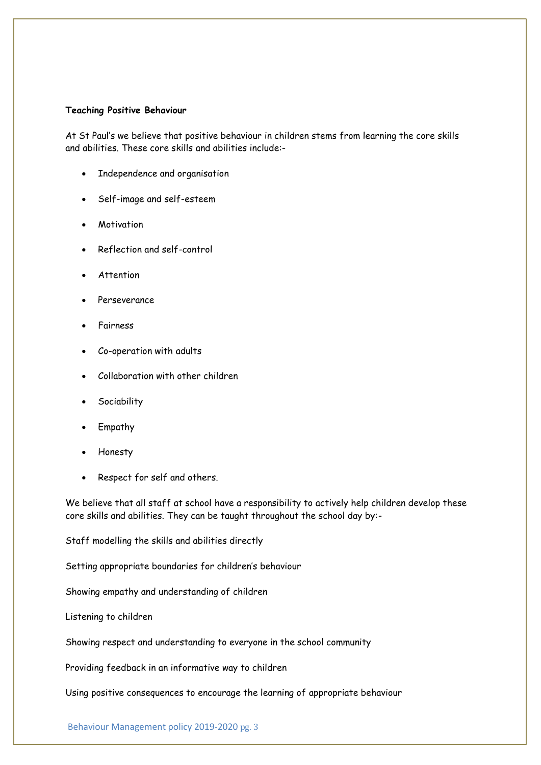## **Teaching Positive Behaviour**

At St Paul's we believe that positive behaviour in children stems from learning the core skills and abilities. These core skills and abilities include:-

- Independence and organisation
- Self-image and self-esteem
- Motivation
- Reflection and self-control
- Attention
- Perseverance
- Fairness
- Co-operation with adults
- Collaboration with other children
- **Sociability**
- Empathy
- Honesty
- Respect for self and others.

We believe that all staff at school have a responsibility to actively help children develop these core skills and abilities. They can be taught throughout the school day by:-

Staff modelling the skills and abilities directly

Setting appropriate boundaries for children's behaviour

Showing empathy and understanding of children

Listening to children

Showing respect and understanding to everyone in the school community

Providing feedback in an informative way to children

Using positive consequences to encourage the learning of appropriate behaviour

Behaviour Management policy 2019-2020 pg. 3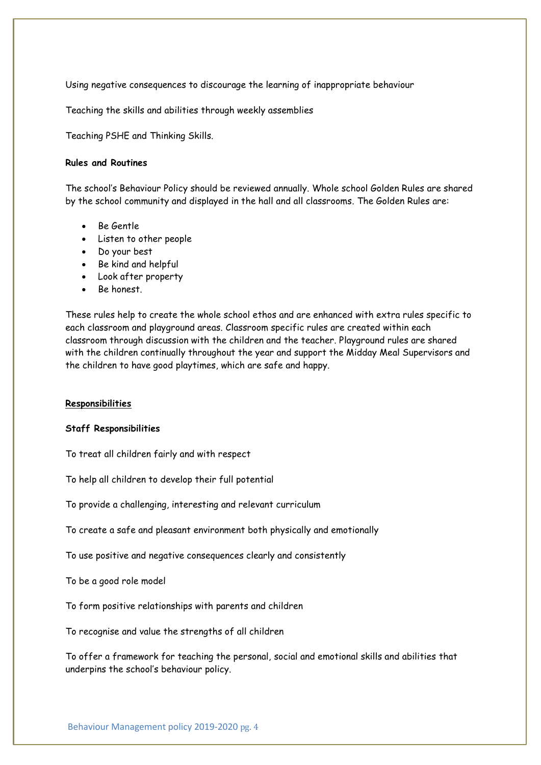Using negative consequences to discourage the learning of inappropriate behaviour

Teaching the skills and abilities through weekly assemblies

Teaching PSHE and Thinking Skills.

### **Rules and Routines**

The school's Behaviour Policy should be reviewed annually. Whole school Golden Rules are shared by the school community and displayed in the hall and all classrooms. The Golden Rules are:

- Be Gentle
- Listen to other people
- Do your best
- Be kind and helpful
- Look after property
- Be honest.

These rules help to create the whole school ethos and are enhanced with extra rules specific to each classroom and playground areas. Classroom specific rules are created within each classroom through discussion with the children and the teacher. Playground rules are shared with the children continually throughout the year and support the Midday Meal Supervisors and the children to have good playtimes, which are safe and happy.

# **Responsibilities**

### **Staff Responsibilities**

To treat all children fairly and with respect

To help all children to develop their full potential

To provide a challenging, interesting and relevant curriculum

To create a safe and pleasant environment both physically and emotionally

To use positive and negative consequences clearly and consistently

To be a good role model

To form positive relationships with parents and children

To recognise and value the strengths of all children

To offer a framework for teaching the personal, social and emotional skills and abilities that underpins the school's behaviour policy.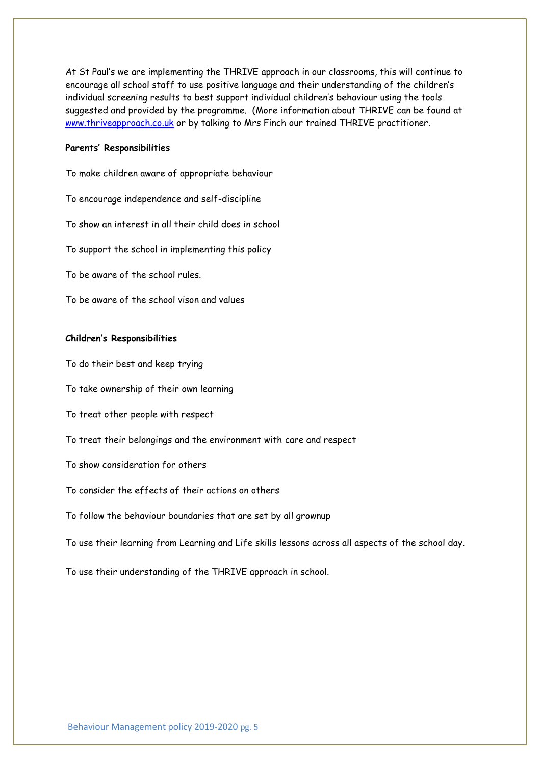At St Paul's we are implementing the THRIVE approach in our classrooms, this will continue to encourage all school staff to use positive language and their understanding of the children's individual screening results to best support individual children's behaviour using the tools suggested and provided by the programme. (More information about THRIVE can be found at [www.thriveapproach.co.uk](http://www.thriveapproach.co.uk/) or by talking to Mrs Finch our trained THRIVE practitioner.

### **Parents' Responsibilities**

To make children aware of appropriate behaviour

To encourage independence and self-discipline

To show an interest in all their child does in school

To support the school in implementing this policy

To be aware of the school rules.

To be aware of the school vison and values

# **Children's Responsibilities**

To do their best and keep trying

To take ownership of their own learning

To treat other people with respect

To treat their belongings and the environment with care and respect

To show consideration for others

To consider the effects of their actions on others

To follow the behaviour boundaries that are set by all grownup

To use their learning from Learning and Life skills lessons across all aspects of the school day.

To use their understanding of the THRIVE approach in school.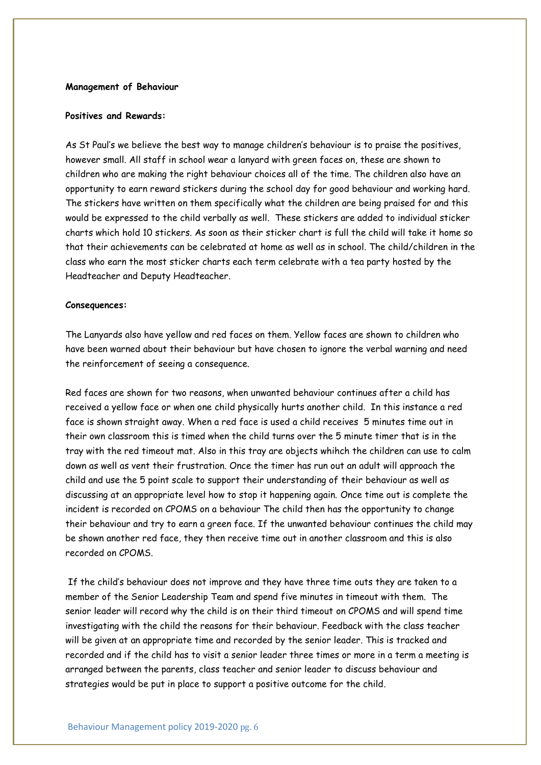# **Management of Behaviour**

# **Positives and Rewards:**

As St Paul's we believe the best way to manage children's behaviour is to praise the positives, however small. All staff in school wear a lanyard with green faces on, these are shown to children who are making the right behaviour choices all of the time. The children also have an opportunity to earn reward stickers during the school day for good behaviour and working hard. The stickers have written on them specifically what the children are being praised for and this would be expressed to the child verbally as well. These stickers are added to individual sticker charts which hold 10 stickers. As soon as their sticker chart is full the child will take it home so that their achievements can be celebrated at home as well as in school. The child/children in the class who earn the most sticker charts each term celebrate with a tea party hosted by the Headteacher and Deputy Headteacher.

#### **Consequences:**

The Lanyards also have yellow and red faces on them. Yellow faces are shown to children who have been warned about their behaviour but have chosen to ignore the verbal warning and need the reinforcement of seeing a consequence.

Red faces are shown for two reasons, when unwanted behaviour continues after a child has received a yellow face or when one child physically hurts another child. In this instance a red face is shown straight away. When a red face is used a child receives 5 minutes time out in their own classroom this is timed when the child turns over the 5 minute timer that is in the tray with the red timeout mat. Also in this tray are objects whihch the children can use to calm down as well as vent their frustration. Once the timer has run out an adult will approach the child and use the 5 point scale to support their understanding of their behaviour as well as discussing at an appropriate level how to stop it happening again. Once time out is complete the incident is recorded on CPOMS on a behaviour The child then has the opportunity to change their behaviour and try to earn a green face. If the unwanted behaviour continues the child may be shown another red face, they then receive time out in another classroom and this is also recorded on CPOMS.

If the child's behaviour does not improve and they have three time outs they are taken to a member of the Senior Leadership Team and spend five minutes in timeout with them. The senior leader will record why the child is on their third timeout on CPOMS and will spend time investigating with the child the reasons for their behaviour. Feedback with the class teacher will be given at an appropriate time and recorded by the senior leader. This is tracked and recorded and if the child has to visit a senior leader three times or more in a term a meeting is arranged between the parents, class teacher and senior leader to discuss behaviour and strategies would be put in place to support a positive outcome for the child.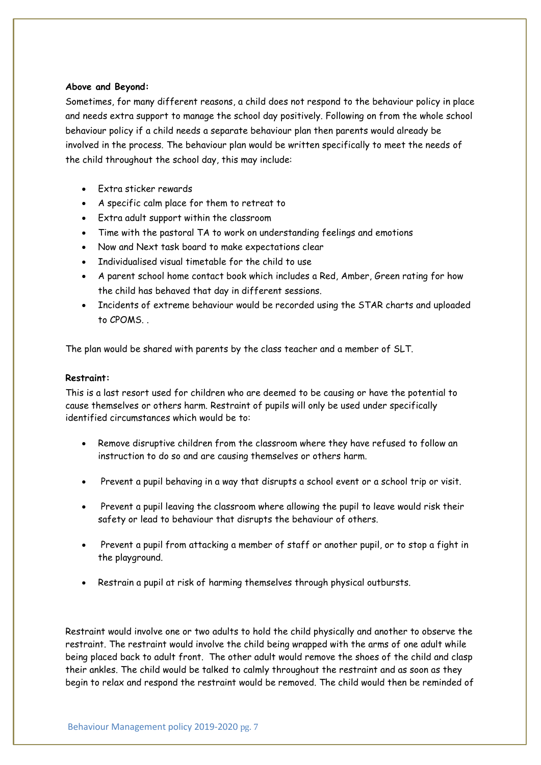# **Above and Beyond:**

Sometimes, for many different reasons, a child does not respond to the behaviour policy in place and needs extra support to manage the school day positively. Following on from the whole school behaviour policy if a child needs a separate behaviour plan then parents would already be involved in the process. The behaviour plan would be written specifically to meet the needs of the child throughout the school day, this may include:

- Extra sticker rewards
- A specific calm place for them to retreat to
- Extra adult support within the classroom
- Time with the pastoral TA to work on understanding feelings and emotions
- Now and Next task board to make expectations clear
- Individualised visual timetable for the child to use
- A parent school home contact book which includes a Red, Amber, Green rating for how the child has behaved that day in different sessions.
- Incidents of extreme behaviour would be recorded using the STAR charts and uploaded to CPOMS

The plan would be shared with parents by the class teacher and a member of SLT.

# **Restraint:**

This is a last resort used for children who are deemed to be causing or have the potential to cause themselves or others harm. Restraint of pupils will only be used under specifically identified circumstances which would be to:

- Remove disruptive children from the classroom where they have refused to follow an instruction to do so and are causing themselves or others harm.
- Prevent a pupil behaving in a way that disrupts a school event or a school trip or visit.
- Prevent a pupil leaving the classroom where allowing the pupil to leave would risk their safety or lead to behaviour that disrupts the behaviour of others.
- Prevent a pupil from attacking a member of staff or another pupil, or to stop a fight in the playground.
- Restrain a pupil at risk of harming themselves through physical outbursts.

Restraint would involve one or two adults to hold the child physically and another to observe the restraint. The restraint would involve the child being wrapped with the arms of one adult while being placed back to adult front. The other adult would remove the shoes of the child and clasp their ankles. The child would be talked to calmly throughout the restraint and as soon as they begin to relax and respond the restraint would be removed. The child would then be reminded of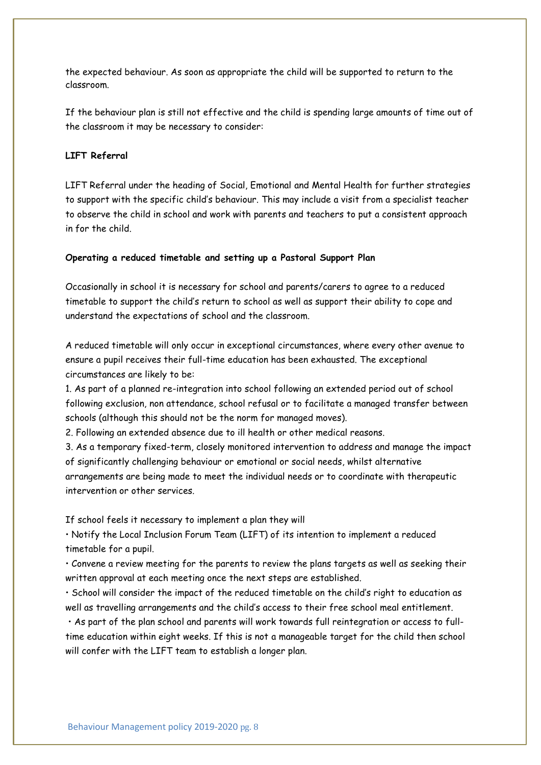the expected behaviour. As soon as appropriate the child will be supported to return to the classroom.

If the behaviour plan is still not effective and the child is spending large amounts of time out of the classroom it may be necessary to consider:

# **LIFT Referral**

LIFT Referral under the heading of Social, Emotional and Mental Health for further strategies to support with the specific child's behaviour. This may include a visit from a specialist teacher to observe the child in school and work with parents and teachers to put a consistent approach in for the child.

### **Operating a reduced timetable and setting up a Pastoral Support Plan**

Occasionally in school it is necessary for school and parents/carers to agree to a reduced timetable to support the child's return to school as well as support their ability to cope and understand the expectations of school and the classroom.

A reduced timetable will only occur in exceptional circumstances, where every other avenue to ensure a pupil receives their full-time education has been exhausted. The exceptional circumstances are likely to be:

1. As part of a planned re-integration into school following an extended period out of school following exclusion, non attendance, school refusal or to facilitate a managed transfer between schools (although this should not be the norm for managed moves).

2. Following an extended absence due to ill health or other medical reasons.

3. As a temporary fixed-term, closely monitored intervention to address and manage the impact of significantly challenging behaviour or emotional or social needs, whilst alternative arrangements are being made to meet the individual needs or to coordinate with therapeutic intervention or other services.

If school feels it necessary to implement a plan they will

• Notify the Local Inclusion Forum Team (LIFT) of its intention to implement a reduced timetable for a pupil.

• Convene a review meeting for the parents to review the plans targets as well as seeking their written approval at each meeting once the next steps are established.

• School will consider the impact of the reduced timetable on the child's right to education as well as travelling arrangements and the child's access to their free school meal entitlement.

• As part of the plan school and parents will work towards full reintegration or access to fulltime education within eight weeks. If this is not a manageable target for the child then school will confer with the LIFT team to establish a longer plan.